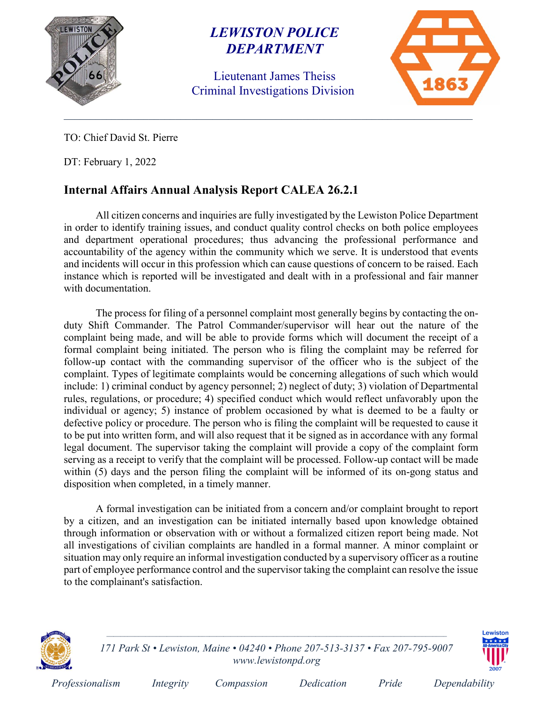

### LEWISTON POLICE DEPARTMENT

Lieutenant James Theiss Criminal Investigations Division



TO: Chief David St. Pierre

DT: February 1, 2022

#### Internal Affairs Annual Analysis Report CALEA 26.2.1

All citizen concerns and inquiries are fully investigated by the Lewiston Police Department in order to identify training issues, and conduct quality control checks on both police employees and department operational procedures; thus advancing the professional performance and accountability of the agency within the community which we serve. It is understood that events and incidents will occur in this profession which can cause questions of concern to be raised. Each instance which is reported will be investigated and dealt with in a professional and fair manner with documentation.

The process for filing of a personnel complaint most generally begins by contacting the onduty Shift Commander. The Patrol Commander/supervisor will hear out the nature of the complaint being made, and will be able to provide forms which will document the receipt of a formal complaint being initiated. The person who is filing the complaint may be referred for follow-up contact with the commanding supervisor of the officer who is the subject of the complaint. Types of legitimate complaints would be concerning allegations of such which would include: 1) criminal conduct by agency personnel; 2) neglect of duty; 3) violation of Departmental rules, regulations, or procedure; 4) specified conduct which would reflect unfavorably upon the individual or agency; 5) instance of problem occasioned by what is deemed to be a faulty or defective policy or procedure. The person who is filing the complaint will be requested to cause it to be put into written form, and will also request that it be signed as in accordance with any formal legal document. The supervisor taking the complaint will provide a copy of the complaint form serving as a receipt to verify that the complaint will be processed. Follow-up contact will be made within (5) days and the person filing the complaint will be informed of its on-gong status and disposition when completed, in a timely manner.

A formal investigation can be initiated from a concern and/or complaint brought to report by a citizen, and an investigation can be initiated internally based upon knowledge obtained through information or observation with or without a formalized citizen report being made. Not all investigations of civilian complaints are handled in a formal manner. A minor complaint or situation may only require an informal investigation conducted by a supervisory officer as a routine part of employee performance control and the supervisor taking the complaint can resolve the issue to the complainant's satisfaction.



171 Park St • Lewiston, Maine • 04240 • Phone 207-513-3137 • Fax 207-795-9007 www.lewistonpd.org

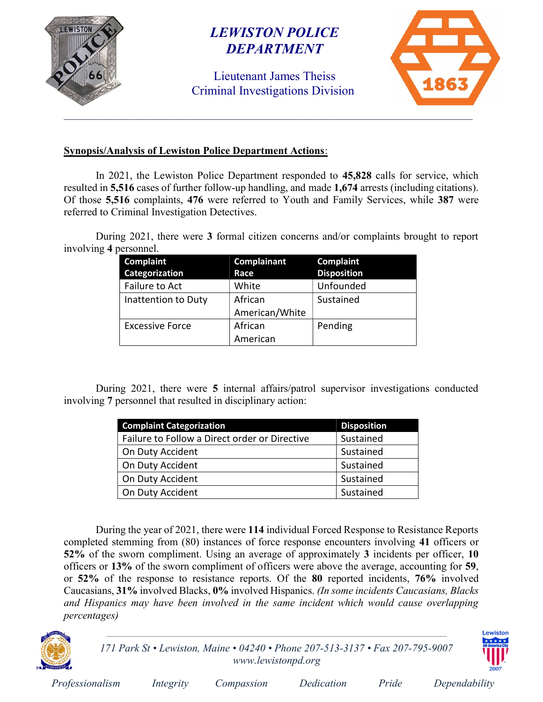

## LEWISTON POLICE DEPARTMENT

Lieutenant James Theiss Criminal Investigations Division



#### Synopsis/Analysis of Lewiston Police Department Actions:

In 2021, the Lewiston Police Department responded to 45,828 calls for service, which resulted in 5,516 cases of further follow-up handling, and made 1,674 arrests (including citations). Of those 5,516 complaints, 476 were referred to Youth and Family Services, while 387 were referred to Criminal Investigation Detectives.

During 2021, there were 3 formal citizen concerns and/or complaints brought to report involving 4 personnel.

| Complaint              | Complainant    | <b>Complaint</b>   |
|------------------------|----------------|--------------------|
| Categorization         | Race           | <b>Disposition</b> |
| Failure to Act         | White          | Unfounded          |
| Inattention to Duty    | African        | Sustained          |
|                        | American/White |                    |
| <b>Excessive Force</b> | African        | Pending            |
|                        | American       |                    |

During 2021, there were 5 internal affairs/patrol supervisor investigations conducted involving 7 personnel that resulted in disciplinary action:

| <b>Complaint Categorization</b>               | <b>Disposition</b> |
|-----------------------------------------------|--------------------|
| Failure to Follow a Direct order or Directive | Sustained          |
| On Duty Accident                              | Sustained          |
| On Duty Accident                              | Sustained          |
| On Duty Accident                              | Sustained          |
| On Duty Accident                              | Sustained          |

During the year of 2021, there were 114 individual Forced Response to Resistance Reports completed stemming from (80) instances of force response encounters involving 41 officers or 52% of the sworn compliment. Using an average of approximately 3 incidents per officer, 10 officers or 13% of the sworn compliment of officers were above the average, accounting for 59, or 52% of the response to resistance reports. Of the 80 reported incidents, 76% involved Caucasians, 31% involved Blacks, 0% involved Hispanics. (In some incidents Caucasians, Blacks and Hispanics may have been involved in the same incident which would cause overlapping percentages)



171 Park St • Lewiston, Maine • 04240 • Phone 207-513-3137 • Fax 207-795-9007 www.lewistonpd.org